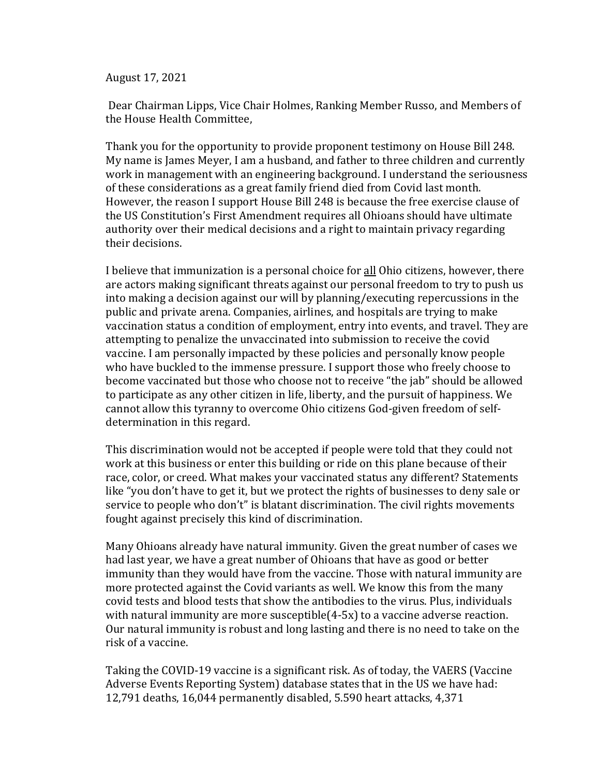August 17, 2021

Dear Chairman Lipps, Vice Chair Holmes, Ranking Member Russo, and Members of the House Health Committee,

Thank you for the opportunity to provide proponent testimony on House Bill 248. My name is James Meyer, I am a husband, and father to three children and currently work in management with an engineering background. I understand the seriousness of these considerations as a great family friend died from Covid last month. However, the reason I support House Bill 248 is because the free exercise clause of the US Constitution's First Amendment requires all Ohioans should have ultimate authority over their medical decisions and a right to maintain privacy regarding their decisions.

I believe that immunization is a personal choice for all Ohio citizens, however, there are actors making significant threats against our personal freedom to try to push us into making a decision against our will by planning/executing repercussions in the public and private arena. Companies, airlines, and hospitals are trying to make vaccination status a condition of employment, entry into events, and travel. They are attempting to penalize the unvaccinated into submission to receive the covid vaccine. I am personally impacted by these policies and personally know people who have buckled to the immense pressure. I support those who freely choose to become vaccinated but those who choose not to receive "the jab" should be allowed to participate as any other citizen in life, liberty, and the pursuit of happiness. We cannot allow this tyranny to overcome Ohio citizens God-given freedom of selfdetermination in this regard.

This discrimination would not be accepted if people were told that they could not work at this business or enter this building or ride on this plane because of their race, color, or creed. What makes your vaccinated status any different? Statements like "you don't have to get it, but we protect the rights of businesses to deny sale or service to people who don't" is blatant discrimination. The civil rights movements fought against precisely this kind of discrimination.

Many Ohioans already have natural immunity. Given the great number of cases we had last year, we have a great number of Ohioans that have as good or better immunity than they would have from the vaccine. Those with natural immunity are more protected against the Covid variants as well. We know this from the many covid tests and blood tests that show the antibodies to the virus. Plus, individuals with natural immunity are more susceptible(4-5x) to a vaccine adverse reaction. Our natural immunity is robust and long lasting and there is no need to take on the risk of a vaccine.

Taking the COVID-19 vaccine is a significant risk. As of today, the VAERS (Vaccine Adverse Events Reporting System) database states that in the US we have had: 12,791 deaths, 16,044 permanently disabled, 5.590 heart attacks, 4,371